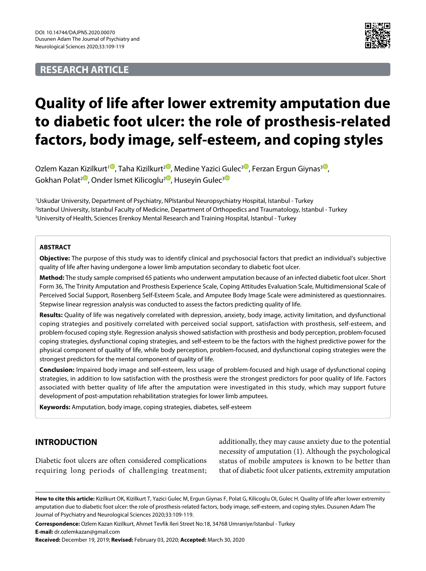# **RESEARCH ARTICLE**



# **Quality of life after lower extremity amputation due to diabetic foot ulcer: the role of prosthesis-related factors, body image, self-esteem, and coping styles**

Ozlem Kazan Kizilkurt<sup>10</sup>[,](https://orcid.org/0000-0001-7121-9139) Taha Kizilkurt<sup>[2](https://orcid.org/0000-0001-9832-8140)0</sup>, Medine Yazici Gulec<sup>[3](https://orcid.org/0000-0001-8280-2979)0</sup>, Ferzan Ergun Giynas<sup>30</sup>, Gokhan Polat<sup>[2](https://orcid.org/0000-0003-0023-7094)</sub><sup>®</sup>, Onder Ismet Kilicoglu<sup>2<sup>®</sup>, Husevin Gulec<sup>[3](https://orcid.org/0000-0002-9227-9373)</sub><sup>®</sup></sup></sup></sup>

1 Uskudar University, Department of Psychiatry, NPIstanbul Neuropsychiatry Hospital, Istanbul - Turkey 2 Istanbul University, Istanbul Faculty of Medicine, Department of Orthopedics and Traumatology, Istanbul - Turkey 3 University of Health, Sciences Erenkoy Mental Research and Training Hospital, Istanbul - Turkey

#### **ABSTRACT**

**Objective:** The purpose of this study was to identify clinical and psychosocial factors that predict an individual's subjective quality of life after having undergone a lower limb amputation secondary to diabetic foot ulcer.

**Method:** The study sample comprised 65 patients who underwent amputation because of an infected diabetic foot ulcer. Short Form 36, The Trinity Amputation and Prosthesis Experience Scale, Coping Attitudes Evaluation Scale, Multidimensional Scale of Perceived Social Support, Rosenberg Self-Esteem Scale, and Amputee Body Image Scale were administered as questionnaires. Stepwise linear regression analysis was conducted to assess the factors predicting quality of life.

**Results:** Quality of life was negatively correlated with depression, anxiety, body image, activity limitation, and dysfunctional coping strategies and positively correlated with perceived social support, satisfaction with prosthesis, self-esteem, and problem-focused coping style. Regression analysis showed satisfaction with prosthesis and body perception, problem-focused coping strategies, dysfunctional coping strategies, and self-esteem to be the factors with the highest predictive power for the physical component of quality of life, while body perception, problem-focused, and dysfunctional coping strategies were the strongest predictors for the mental component of quality of life.

**Conclusion:** Impaired body image and self-esteem, less usage of problem-focused and high usage of dysfunctional coping strategies, in addition to low satisfaction with the prosthesis were the strongest predictors for poor quality of life. Factors associated with better quality of life after the amputation were investigated in this study, which may support future development of post-amputation rehabilitation strategies for lower limb amputees.

**Keywords:** Amputation, body image, coping strategies, diabetes, self-esteem

## **INTRODUCTION**

Diabetic foot ulcers are often considered complications requiring long periods of challenging treatment; additionally, they may cause anxiety due to the potential necessity of amputation (1). Although the psychological status of mobile amputees is known to be better than that of diabetic foot ulcer patients, extremity amputation

**Correspondence:** Ozlem Kazan Kizilkurt, Ahmet Tevfik Ileri Street No:18, 34768 Umraniye/Istanbul - Turkey **E-mail:** dr.ozlemkazan@gmail.com

**Received:** December 19, 2019; **Revised:** February 03, 2020; **Accepted:** March 30, 2020

**How to cite this article:** Kizilkurt OK, Kizilkurt T, Yazici Gulec M, Ergun Giynas F, Polat G, Kilicoglu OI, Gulec H. Quality of life after lower extremity amputation due to diabetic foot ulcer: the role of prosthesis-related factors, body image, self-esteem, and coping styles. Dusunen Adam The Journal of Psychiatry and Neurological Sciences 2020;33:109-119.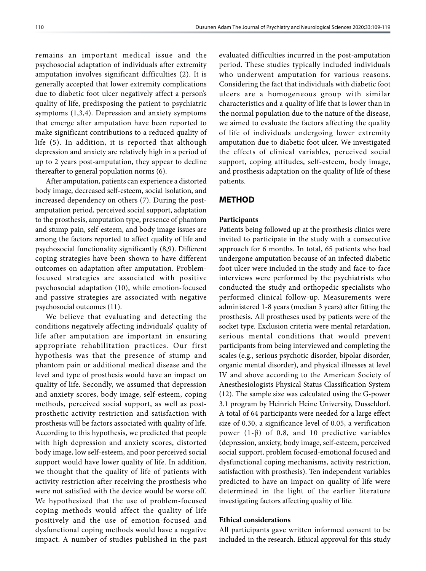remains an important medical issue and the psychosocial adaptation of individuals after extremity amputation involves significant difficulties (2). It is generally accepted that lower extremity complications due to diabetic foot ulcer negatively affect a person's quality of life, predisposing the patient to psychiatric symptoms (1,3,4). Depression and anxiety symptoms that emerge after amputation have been reported to make significant contributions to a reduced quality of life (5). In addition, it is reported that although depression and anxiety are relatively high in a period of up to 2 years post-amputation, they appear to decline thereafter to general population norms (6).

After amputation, patients can experience a distorted body image, decreased self-esteem, social isolation, and increased dependency on others (7). During the postamputation period, perceived social support, adaptation to the prosthesis, amputation type, presence of phantom and stump pain, self-esteem, and body image issues are among the factors reported to affect quality of life and psychosocial functionality significantly (8,9). Different coping strategies have been shown to have different outcomes on adaptation after amputation. Problemfocused strategies are associated with positive psychosocial adaptation (10), while emotion-focused and passive strategies are associated with negative psychosocial outcomes (11).

We believe that evaluating and detecting the conditions negatively affecting individuals' quality of life after amputation are important in ensuring appropriate rehabilitation practices. Our first hypothesis was that the presence of stump and phantom pain or additional medical disease and the level and type of prosthesis would have an impact on quality of life. Secondly, we assumed that depression and anxiety scores, body image, self-esteem, coping methods, perceived social support, as well as postprosthetic activity restriction and satisfaction with prosthesis will be factors associated with quality of life. According to this hypothesis, we predicted that people with high depression and anxiety scores, distorted body image, low self-esteem, and poor perceived social support would have lower quality of life. In addition, we thought that the quality of life of patients with activity restriction after receiving the prosthesis who were not satisfied with the device would be worse off. We hypothesized that the use of problem-focused coping methods would affect the quality of life positively and the use of emotion-focused and dysfunctional coping methods would have a negative impact. A number of studies published in the past

evaluated difficulties incurred in the post-amputation period. These studies typically included individuals who underwent amputation for various reasons. Considering the fact that individuals with diabetic foot ulcers are a homogeneous group with similar characteristics and a quality of life that is lower than in the normal population due to the nature of the disease, we aimed to evaluate the factors affecting the quality of life of individuals undergoing lower extremity amputation due to diabetic foot ulcer. We investigated the effects of clinical variables, perceived social support, coping attitudes, self-esteem, body image, and prosthesis adaptation on the quality of life of these patients.

## **METHOD**

#### **Participants**

Patients being followed up at the prosthesis clinics were invited to participate in the study with a consecutive approach for 6 months. In total, 65 patients who had undergone amputation because of an infected diabetic foot ulcer were included in the study and face-to-face interviews were performed by the psychiatrists who conducted the study and orthopedic specialists who performed clinical follow-up. Measurements were administered 1-8 years (median 3 years) after fitting the prosthesis. All prostheses used by patients were of the socket type. Exclusion criteria were mental retardation, serious mental conditions that would prevent participants from being interviewed and completing the scales (e.g., serious psychotic disorder, bipolar disorder, organic mental disorder), and physical illnesses at level IV and above according to the American Society of Anesthesiologists Physical Status Classification System (12). The sample size was calculated using the G-power 3.1 program by Heinrich Heine University, Dusseldorf. A total of 64 participants were needed for a large effect size of 0.30, a significance level of 0.05, a verification power (1-β) of 0.8, and 10 predictive variables (depression, anxiety, body image, self-esteem, perceived social support, problem focused-emotional focused and dysfunctional coping mechanisms, activity restriction, satisfaction with prosthesis). Ten independent variables predicted to have an impact on quality of life were determined in the light of the earlier literature investigating factors affecting quality of life.

#### **Ethical considerations**

All participants gave written informed consent to be included in the research. Ethical approval for this study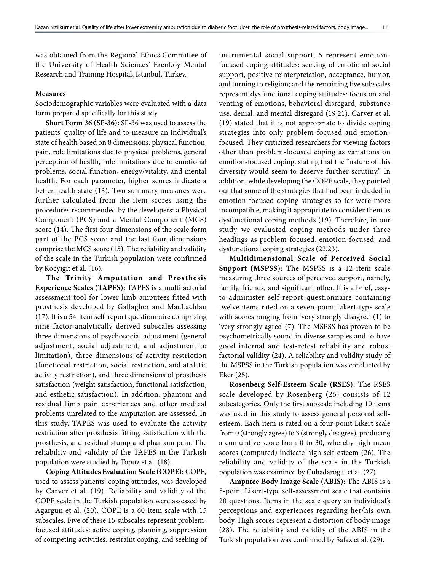was obtained from the Regional Ethics Committee of the University of Health Sciences' Erenkoy Mental Research and Training Hospital, Istanbul, Turkey.

#### **Measures**

Sociodemographic variables were evaluated with a data form prepared specifically for this study.

**Short Form 36 (SF-36):** SF-36 was used to assess the patients' quality of life and to measure an individual's state of health based on 8 dimensions: physical function, pain, role limitations due to physical problems, general perception of health, role limitations due to emotional problems, social function, energy/vitality, and mental health. For each parameter, higher scores indicate a better health state (13). Two summary measures were further calculated from the item scores using the procedures recommended by the developers: a Physical Component (PCS) and a Mental Component (MCS) score (14). The first four dimensions of the scale form part of the PCS score and the last four dimensions comprise the MCS score (15). The reliability and validity of the scale in the Turkish population were confirmed by Kocyigit et al. (16).

**The Trinity Amputation and Prosthesis Experience Scales (TAPES):** TAPES is a multifactorial assessment tool for lower limb amputees fitted with prosthesis developed by Gallagher and MacLachlan (17). It is a 54-item self-report questionnaire comprising nine factor-analytically derived subscales assessing three dimensions of psychosocial adjustment (general adjustment, social adjustment, and adjustment to limitation), three dimensions of activity restriction (functional restriction, social restriction, and athletic activity restriction), and three dimensions of prosthesis satisfaction (weight satisfaction, functional satisfaction, and esthetic satisfaction). In addition, phantom and residual limb pain experiences and other medical problems unrelated to the amputation are assessed. In this study, TAPES was used to evaluate the activity restriction after prosthesis fitting, satisfaction with the prosthesis, and residual stump and phantom pain. The reliability and validity of the TAPES in the Turkish population were studied by Topuz et al. (18).

**Coping Attitudes Evaluation Scale (COPE):** COPE, used to assess patients' coping attitudes, was developed by Carver et al. (19). Reliability and validity of the COPE scale in the Turkish population were assessed by Agargun et al. (20). COPE is a 60-item scale with 15 subscales. Five of these 15 subscales represent problemfocused attitudes: active coping, planning, suppression of competing activities, restraint coping, and seeking of instrumental social support; 5 represent emotionfocused coping attitudes: seeking of emotional social support, positive reinterpretation, acceptance, humor, and turning to religion; and the remaining five subscales represent dysfunctional coping attitudes: focus on and venting of emotions, behavioral disregard, substance use, denial, and mental disregard (19,21). Carver et al. (19) stated that it is not appropriate to divide coping strategies into only problem-focused and emotionfocused. They criticized researchers for viewing factors other than problem-focused coping as variations on emotion-focused coping, stating that the "nature of this diversity would seem to deserve further scrutiny." In addition, while developing the COPE scale, they pointed out that some of the strategies that had been included in emotion-focused coping strategies so far were more incompatible, making it appropriate to consider them as dysfunctional coping methods (19). Therefore, in our study we evaluated coping methods under three headings as problem-focused, emotion-focused, and dysfunctional coping strategies (22,23).

**Multidimensional Scale of Perceived Social Support (MSPSS):** The MSPSS is a 12-item scale measuring three sources of perceived support, namely, family, friends, and significant other. It is a brief, easyto-administer self-report questionnaire containing twelve items rated on a seven-point Likert-type scale with scores ranging from 'very strongly disagree' (1) to 'very strongly agree' (7). The MSPSS has proven to be psychometrically sound in diverse samples and to have good internal and test-retest reliability and robust factorial validity (24). A reliability and validity study of the MSPSS in the Turkish population was conducted by Eker (25).

**Rosenberg Self-Esteem Scale (RSES):** The RSES scale developed by Rosenberg (26) consists of 12 subcategories. Only the first subscale including 10 items was used in this study to assess general personal selfesteem. Each item is rated on a four-point Likert scale from 0 (strongly agree) to 3 (strongly disagree), producing a cumulative score from 0 to 30, whereby high mean scores (computed) indicate high self-esteem (26). The reliability and validity of the scale in the Turkish population was examined by Cuhadaroglu et al. (27).

**Amputee Body Image Scale (ABIS):** The ABIS is a 5-point Likert-type self-assessment scale that contains 20 questions. Items in the scale query an individual's perceptions and experiences regarding her/his own body. High scores represent a distortion of body image (28). The reliability and validity of the ABIS in the Turkish population was confirmed by Safaz et al. (29).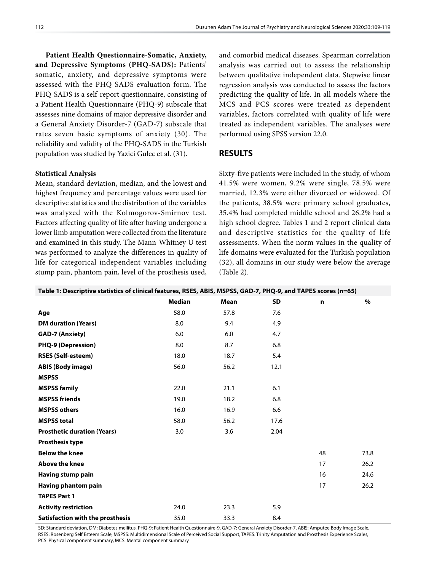**Patient Health Questionnaire-Somatic, Anxiety, and Depressive Symptoms (PHQ-SADS):** Patients' somatic, anxiety, and depressive symptoms were assessed with the PHQ-SADS evaluation form. The PHQ-SADS is a self-report questionnaire, consisting of a Patient Health Questionnaire (PHQ-9) subscale that assesses nine domains of major depressive disorder and a General Anxiety Disorder-7 (GAD-7) subscale that rates seven basic symptoms of anxiety (30). The reliability and validity of the PHQ-SADS in the Turkish population was studied by Yazici Gulec et al. (31).

#### **Statistical Analysis**

Mean, standard deviation, median, and the lowest and highest frequency and percentage values were used for descriptive statistics and the distribution of the variables was analyzed with the Kolmogorov-Smirnov test. Factors affecting quality of life after having undergone a lower limb amputation were collected from the literature and examined in this study. The Mann-Whitney U test was performed to analyze the differences in quality of life for categorical independent variables including stump pain, phantom pain, level of the prosthesis used,

and comorbid medical diseases. Spearman correlation analysis was carried out to assess the relationship between qualitative independent data. Stepwise linear regression analysis was conducted to assess the factors predicting the quality of life. In all models where the MCS and PCS scores were treated as dependent variables, factors correlated with quality of life were treated as independent variables. The analyses were performed using SPSS version 22.0.

#### **RESULTS**

Sixty-five patients were included in the study, of whom 41.5% were women, 9.2% were single, 78.5% were married, 12.3% were either divorced or widowed. Of the patients, 38.5% were primary school graduates, 35.4% had completed middle school and 26.2% had a high school degree. Tables 1 and 2 report clinical data and descriptive statistics for the quality of life assessments. When the norm values in the quality of life domains were evaluated for the Turkish population (32), all domains in our study were below the average (Table 2).

| Table 1: Descriptive statistics of clinical features, RSES, ABIS, MSPSS, GAD-7, PHQ-9, and TAPES scores (n=65) |  |  |  |  |
|----------------------------------------------------------------------------------------------------------------|--|--|--|--|
|----------------------------------------------------------------------------------------------------------------|--|--|--|--|

|                                    | <b>Median</b> | <b>Mean</b> | SD   | $\mathbf n$ | $\%$ |
|------------------------------------|---------------|-------------|------|-------------|------|
| Age                                | 58.0          | 57.8        | 7.6  |             |      |
| <b>DM</b> duration (Years)         | 8.0           | 9.4         | 4.9  |             |      |
| <b>GAD-7 (Anxiety)</b>             | 6.0           | 6.0         | 4.7  |             |      |
| <b>PHQ-9 (Depression)</b>          | 8.0           | 8.7         | 6.8  |             |      |
| <b>RSES (Self-esteem)</b>          | 18.0          | 18.7        | 5.4  |             |      |
| <b>ABIS (Body image)</b>           | 56.0          | 56.2        | 12.1 |             |      |
| <b>MSPSS</b>                       |               |             |      |             |      |
| <b>MSPSS family</b>                | 22.0          | 21.1        | 6.1  |             |      |
| <b>MSPSS friends</b>               | 19.0          | 18.2        | 6.8  |             |      |
| <b>MSPSS others</b>                | 16.0          | 16.9        | 6.6  |             |      |
| <b>MSPSS total</b>                 | 58.0          | 56.2        | 17.6 |             |      |
| <b>Prosthetic duration (Years)</b> | 3.0           | 3.6         | 2.04 |             |      |
| <b>Prosthesis type</b>             |               |             |      |             |      |
| <b>Below the knee</b>              |               |             |      | 48          | 73.8 |
| <b>Above the knee</b>              |               |             |      | 17          | 26.2 |
| Having stump pain                  |               |             |      | 16          | 24.6 |
| Having phantom pain                |               |             |      | 17          | 26.2 |
| <b>TAPES Part 1</b>                |               |             |      |             |      |
| <b>Activity restriction</b>        | 24.0          | 23.3        | 5.9  |             |      |
| Satisfaction with the prosthesis   | 35.0          | 33.3        | 8.4  |             |      |

SD: Standard deviation, DM: Diabetes mellitus, PHQ-9: Patient Health Questionnaire-9, GAD-7: General Anxiety Disorder-7, ABIS: Amputee Body Image Scale, RSES: Rosenberg Self Esteem Scale, MSPSS: Multidimensional Scale of Perceived Social Support, TAPES: Trinity Amputation and Prosthesis Experience Scales, PCS: Physical component summary, MCS: Mental component summary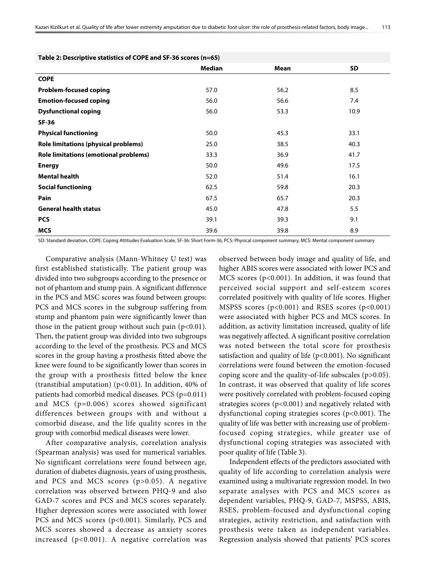| Table 2: Descriptive statistics of COPE and SF-36 scores (n=65) |        |      |      |  |  |  |
|-----------------------------------------------------------------|--------|------|------|--|--|--|
|                                                                 | Median | Mean | SD   |  |  |  |
| <b>COPE</b>                                                     |        |      |      |  |  |  |
| <b>Problem-focused coping</b>                                   | 57.0   | 56.2 | 8.5  |  |  |  |
| <b>Emotion-focused coping</b>                                   | 56.0   | 56.6 | 7.4  |  |  |  |
| <b>Dysfunctional coping</b>                                     | 56.0   | 53.3 | 10.9 |  |  |  |
| <b>SF-36</b>                                                    |        |      |      |  |  |  |
| <b>Physical functioning</b>                                     | 50.0   | 45.3 | 33.1 |  |  |  |
| Role limitations (physical problems)                            | 25.0   | 38.5 | 40.3 |  |  |  |
| <b>Role limitations (emotional problems)</b>                    | 33.3   | 36.9 | 41.7 |  |  |  |
| <b>Energy</b>                                                   | 50.0   | 49.6 | 17.5 |  |  |  |
| <b>Mental health</b>                                            | 52.0   | 51.4 | 16.1 |  |  |  |
| <b>Social functioning</b>                                       | 62.5   | 59.8 | 20.3 |  |  |  |
| Pain                                                            | 67.5   | 65.7 | 20.3 |  |  |  |
| <b>General health status</b>                                    | 45.0   | 47.8 | 5.5  |  |  |  |
| <b>PCS</b>                                                      | 39.1   | 39.3 | 9.1  |  |  |  |
| <b>MCS</b>                                                      | 39.6   | 39.8 | 8.9  |  |  |  |

SD: Standard deviation, COPE: Coping Attitudes Evaluation Scale, SF-36: Short Form-36, PCS: Physical component summary, MCS: Mental component summary

Comparative analysis (Mann-Whitney U test) was first established statistically. The patient group was divided into two subgroups according to the presence or not of phantom and stump pain. A significant difference in the PCS and MSC scores was found between groups: PCS and MCS scores in the subgroup suffering from stump and phantom pain were significantly lower than those in the patient group without such pain  $(p<0.01)$ . Then, the patient group was divided into two subgroups according to the level of the prosthesis. PCS and MCS scores in the group having a prosthesis fitted above the knee were found to be significantly lower than scores in the group with a prosthesis fitted below the knee (transtibial amputation) (p<0.01). In addition, 40% of patients had comorbid medical diseases. PCS (p=0.011) and MCS (p=0.006) scores showed significant differences between groups with and without a comorbid disease, and the life quality scores in the group with comorbid medical diseases were lower.

After comparative analysis, correlation analysis (Spearman analysis) was used for numerical variables. No significant correlations were found between age, duration of diabetes diagnosis, years of using prosthesis, and PCS and MCS scores (p>0.05). A negative correlation was observed between PHQ-9 and also GAD-7 scores and PCS and MCS scores separately. Higher depression scores were associated with lower PCS and MCS scores (p<0.001). Similarly, PCS and MCS scores showed a decrease as anxiety scores increased (p<0.001). A negative correlation was

observed between body image and quality of life, and higher ABIS scores were associated with lower PCS and MCS scores (p<0.001). In addition, it was found that perceived social support and self-esteem scores correlated positively with quality of life scores. Higher MSPSS scores (p<0.001) and RSES scores (p<0.001) were associated with higher PCS and MCS scores. In addition, as activity limitation increased, quality of life was negatively affected. A significant positive correlation was noted between the total score for prosthesis satisfaction and quality of life  $(p<0.001)$ . No significant correlations were found between the emotion-focused coping score and the quality-of-life subscales (p>0.05). In contrast, it was observed that quality of life scores were positively correlated with problem-focused coping strategies scores (p<0.001) and negatively related with dysfunctional coping strategies scores (p<0.001). The quality of life was better with increasing use of problemfocused coping strategies, while greater use of dysfunctional coping strategies was associated with poor quality of life (Table 3).

Independent effects of the predictors associated with quality of life according to correlation analysis were examined using a multivariate regression model. In two separate analyses with PCS and MCS scores as dependent variables, PHQ-9, GAD-7, MSPSS, ABIS, RSES, problem-focused and dysfunctional coping strategies, activity restriction, and satisfaction with prosthesis were taken as independent variables. Regression analysis showed that patients' PCS scores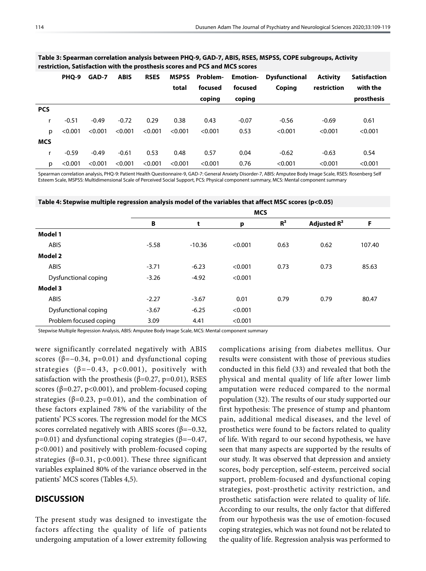|            | PHQ-9   | GAD-7   | <b>ABIS</b> | <b>RSES</b> | MSPSS   | Problem- |         | <b>Emotion-</b> Dysfunctional | <b>Activity</b> | Satisfaction |
|------------|---------|---------|-------------|-------------|---------|----------|---------|-------------------------------|-----------------|--------------|
|            |         |         |             |             | total   | focused  | focused | Coping                        | restriction     | with the     |
|            |         |         |             |             |         | coping   | coping  |                               |                 | prosthesis   |
| <b>PCS</b> |         |         |             |             |         |          |         |                               |                 |              |
|            | $-0.51$ | $-0.49$ | $-0.72$     | 0.29        | 0.38    | 0.43     | $-0.07$ | $-0.56$                       | $-0.69$         | 0.61         |
| p          | < 0.001 | < 0.001 | < 0.001     | < 0.001     | < 0.001 | < 0.001  | 0.53    | < 0.001                       | < 0.001         | < 0.001      |
| <b>MCS</b> |         |         |             |             |         |          |         |                               |                 |              |
| r          | $-0.59$ | $-0.49$ | $-0.61$     | 0.53        | 0.48    | 0.57     | 0.04    | $-0.62$                       | $-0.63$         | 0.54         |
| p          | < 0.001 | < 0.001 | < 0.001     | < 0.001     | < 0.001 | < 0.001  | 0.76    | < 0.001                       | < 0.001         | < 0.001      |

**Table 3: Spearman correlation analysis between PHQ-9, GAD-7, ABIS, RSES, MSPSS, COPE subgroups, Activity restriction, Satisfaction with the prosthesis scores and PCS and MCS scores**

Spearman correlation analysis, PHQ-9: Patient Health Questionnaire-9, GAD-7: General Anxiety Disorder-7, ABIS: Amputee Body Image Scale, RSES: Rosenberg Self Esteem Scale, MSPSS: Multidimensional Scale of Perceived Social Support, PCS: Physical component summary, MCS: Mental component summary

|  | Table 4: Stepwise multiple regression analysis model of the variables that affect MSC scores (p<0.05) |  |  |
|--|-------------------------------------------------------------------------------------------------------|--|--|
|--|-------------------------------------------------------------------------------------------------------|--|--|

|                        | <b>MCS</b> |          |         |                |                         |        |
|------------------------|------------|----------|---------|----------------|-------------------------|--------|
|                        | B          | t        | p       | R <sup>2</sup> | Adjusted R <sup>2</sup> | F      |
| Model 1                |            |          |         |                |                         |        |
| <b>ABIS</b>            | $-5.58$    | $-10.36$ | < 0.001 | 0.63           | 0.62                    | 107.40 |
| Model 2                |            |          |         |                |                         |        |
| <b>ABIS</b>            | $-3.71$    | $-6.23$  | < 0.001 | 0.73           | 0.73                    | 85.63  |
| Dysfunctional coping   | $-3.26$    | $-4.92$  | < 0.001 |                |                         |        |
| Model 3                |            |          |         |                |                         |        |
| <b>ABIS</b>            | $-2.27$    | $-3.67$  | 0.01    | 0.79           | 0.79                    | 80.47  |
| Dysfunctional coping   | $-3.67$    | $-6.25$  | < 0.001 |                |                         |        |
| Problem focused coping | 3.09       | 4.41     | < 0.001 |                |                         |        |

Stepwise Multiple Regression Analysis, ABIS: Amputee Body Image Scale, MCS: Mental component summary

were significantly correlated negatively with ABIS scores ( $\beta = -0.34$ , p=0.01) and dysfunctional coping strategies ( $\beta = -0.43$ , p<0.001), positively with satisfaction with the prosthesis ( $\beta$ =0.27, p=0.01), RSES scores ( $\beta$ =0.27, p<0.001), and problem-focused coping strategies ( $\beta$ =0.23, p=0.01), and the combination of these factors explained 78% of the variability of the patients' PCS scores. The regression model for the MCS scores correlated negatively with ABIS scores ( $\beta$ =−0.32, p=0.01) and dysfunctional coping strategies ( $β=-0.47$ , p<0.001) and positively with problem-focused coping strategies ( $\beta$ =0.31, p<0.001). These three significant variables explained 80% of the variance observed in the patients' MCS scores (Tables 4,5).

#### **DISCUSSION**

The present study was designed to investigate the factors affecting the quality of life of patients undergoing amputation of a lower extremity following complications arising from diabetes mellitus. Our results were consistent with those of previous studies conducted in this field (33) and revealed that both the physical and mental quality of life after lower limb amputation were reduced compared to the normal population (32). The results of our study supported our first hypothesis: The presence of stump and phantom pain, additional medical diseases, and the level of prosthetics were found to be factors related to quality of life. With regard to our second hypothesis, we have seen that many aspects are supported by the results of our study. It was observed that depression and anxiety scores, body perception, self-esteem, perceived social support, problem-focused and dysfunctional coping strategies, post-prosthetic activity restriction, and prosthetic satisfaction were related to quality of life. According to our results, the only factor that differed from our hypothesis was the use of emotion-focused coping strategies, which was not found not be related to the quality of life. Regression analysis was performed to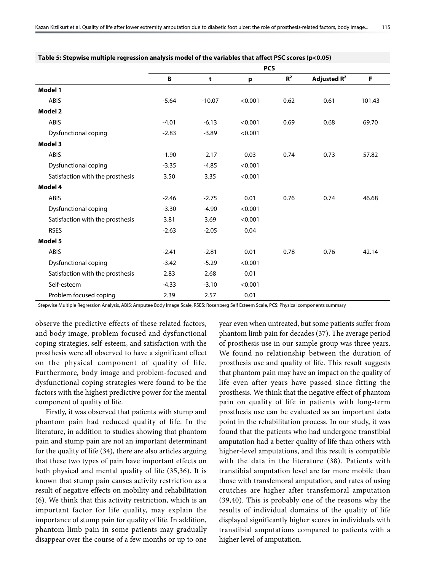|                                  | <b>PCS</b> |          |         |                |                         |        |
|----------------------------------|------------|----------|---------|----------------|-------------------------|--------|
|                                  | B          | t        | p       | R <sup>2</sup> | Adjusted R <sup>2</sup> | F      |
| Model 1                          |            |          |         |                |                         |        |
| <b>ABIS</b>                      | $-5.64$    | $-10.07$ | < 0.001 | 0.62           | 0.61                    | 101.43 |
| Model 2                          |            |          |         |                |                         |        |
| <b>ABIS</b>                      | $-4.01$    | $-6.13$  | < 0.001 | 0.69           | 0.68                    | 69.70  |
| Dysfunctional coping             | $-2.83$    | $-3.89$  | < 0.001 |                |                         |        |
| Model 3                          |            |          |         |                |                         |        |
| <b>ABIS</b>                      | $-1.90$    | $-2.17$  | 0.03    | 0.74           | 0.73                    | 57.82  |
| <b>Dysfunctional coping</b>      | $-3.35$    | $-4.85$  | < 0.001 |                |                         |        |
| Satisfaction with the prosthesis | 3.50       | 3.35     | < 0.001 |                |                         |        |
| Model 4                          |            |          |         |                |                         |        |
| <b>ABIS</b>                      | $-2.46$    | $-2.75$  | 0.01    | 0.76           | 0.74                    | 46.68  |
| <b>Dysfunctional coping</b>      | $-3.30$    | $-4.90$  | < 0.001 |                |                         |        |
| Satisfaction with the prosthesis | 3.81       | 3.69     | < 0.001 |                |                         |        |
| <b>RSES</b>                      | $-2.63$    | $-2.05$  | 0.04    |                |                         |        |
| Model 5                          |            |          |         |                |                         |        |
| <b>ABIS</b>                      | $-2.41$    | $-2.81$  | 0.01    | 0.78           | 0.76                    | 42.14  |
| Dysfunctional coping             | $-3.42$    | $-5.29$  | < 0.001 |                |                         |        |
| Satisfaction with the prosthesis | 2.83       | 2.68     | 0.01    |                |                         |        |
| Self-esteem                      | $-4.33$    | $-3.10$  | < 0.001 |                |                         |        |
| Problem focused coping           | 2.39       | 2.57     | 0.01    |                |                         |        |

**Table 5: Stepwise multiple regression analysis model of the variables that affect PSC scores (p<0.05)**

Stepwise Multiple Regression Analysis, ABIS: Amputee Body Image Scale, RSES: Rosenberg Self Esteem Scale, PCS: Physical components summary

observe the predictive effects of these related factors, and body image, problem-focused and dysfunctional coping strategies, self-esteem, and satisfaction with the prosthesis were all observed to have a significant effect on the physical component of quality of life. Furthermore, body image and problem-focused and dysfunctional coping strategies were found to be the factors with the highest predictive power for the mental component of quality of life.

Firstly, it was observed that patients with stump and phantom pain had reduced quality of life. In the literature, in addition to studies showing that phantom pain and stump pain are not an important determinant for the quality of life (34), there are also articles arguing that these two types of pain have important effects on both physical and mental quality of life (35,36). It is known that stump pain causes activity restriction as a result of negative effects on mobility and rehabilitation (6). We think that this activity restriction, which is an important factor for life quality, may explain the importance of stump pain for quality of life. In addition, phantom limb pain in some patients may gradually disappear over the course of a few months or up to one

year even when untreated, but some patients suffer from phantom limb pain for decades (37). The average period of prosthesis use in our sample group was three years. We found no relationship between the duration of prosthesis use and quality of life. This result suggests that phantom pain may have an impact on the quality of life even after years have passed since fitting the prosthesis. We think that the negative effect of phantom pain on quality of life in patients with long-term prosthesis use can be evaluated as an important data point in the rehabilitation process. In our study, it was found that the patients who had undergone transtibial amputation had a better quality of life than others with higher-level amputations, and this result is compatible with the data in the literature (38). Patients with transtibial amputation level are far more mobile than those with transfemoral amputation, and rates of using crutches are higher after transfemoral amputation (39,40). This is probably one of the reasons why the results of individual domains of the quality of life displayed significantly higher scores in individuals with transtibial amputations compared to patients with a higher level of amputation.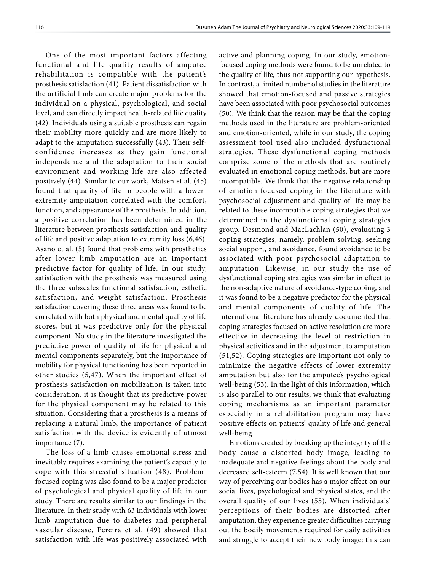One of the most important factors affecting functional and life quality results of amputee rehabilitation is compatible with the patient's prosthesis satisfaction (41). Patient dissatisfaction with the artificial limb can create major problems for the individual on a physical, psychological, and social level, and can directly impact health-related life quality (42). Individuals using a suitable prosthesis can regain their mobility more quickly and are more likely to adapt to the amputation successfully (43). Their selfconfidence increases as they gain functional independence and the adaptation to their social environment and working life are also affected positively (44). Similar to our work, Matsen et al. (45) found that quality of life in people with a lowerextremity amputation correlated with the comfort, function, and appearance of the prosthesis. In addition, a positive correlation has been determined in the literature between prosthesis satisfaction and quality of life and positive adaptation to extremity loss (6,46). Asano et al. (5) found that problems with prosthetics after lower limb amputation are an important predictive factor for quality of life. In our study, satisfaction with the prosthesis was measured using the three subscales functional satisfaction, esthetic satisfaction, and weight satisfaction. Prosthesis satisfaction covering these three areas was found to be correlated with both physical and mental quality of life scores, but it was predictive only for the physical component. No study in the literature investigated the predictive power of quality of life for physical and mental components separately, but the importance of mobility for physical functioning has been reported in other studies (5,47). When the important effect of prosthesis satisfaction on mobilization is taken into consideration, it is thought that its predictive power for the physical component may be related to this situation. Considering that a prosthesis is a means of replacing a natural limb, the importance of patient satisfaction with the device is evidently of utmost importance (7).

The loss of a limb causes emotional stress and inevitably requires examining the patient's capacity to cope with this stressful situation (48). Problemfocused coping was also found to be a major predictor of psychological and physical quality of life in our study. There are results similar to our findings in the literature. In their study with 63 individuals with lower limb amputation due to diabetes and peripheral vascular disease, Pereira et al. (49) showed that satisfaction with life was positively associated with

active and planning coping. In our study, emotionfocused coping methods were found to be unrelated to the quality of life, thus not supporting our hypothesis. In contrast, a limited number of studies in the literature showed that emotion-focused and passive strategies have been associated with poor psychosocial outcomes (50). We think that the reason may be that the coping methods used in the literature are problem-oriented and emotion-oriented, while in our study, the coping assessment tool used also included dysfunctional strategies. These dysfunctional coping methods comprise some of the methods that are routinely evaluated in emotional coping methods, but are more incompatible. We think that the negative relationship of emotion-focused coping in the literature with psychosocial adjustment and quality of life may be related to these incompatible coping strategies that we determined in the dysfunctional coping strategies group. Desmond and MacLachlan (50), evaluating 3 coping strategies, namely, problem solving, seeking social support, and avoidance, found avoidance to be associated with poor psychosocial adaptation to amputation. Likewise, in our study the use of dysfunctional coping strategies was similar in effect to the non-adaptive nature of avoidance-type coping, and it was found to be a negative predictor for the physical and mental components of quality of life. The international literature has already documented that coping strategies focused on active resolution are more effective in decreasing the level of restriction in physical activities and in the adjustment to amputation (51,52). Coping strategies are important not only to minimize the negative effects of lower extremity amputation but also for the amputee's psychological well-being (53). In the light of this information, which is also parallel to our results, we think that evaluating coping mechanisms as an important parameter especially in a rehabilitation program may have positive effects on patients' quality of life and general well-being.

Emotions created by breaking up the integrity of the body cause a distorted body image, leading to inadequate and negative feelings about the body and decreased self-esteem (7,54). It is well known that our way of perceiving our bodies has a major effect on our social lives, psychological and physical states, and the overall quality of our lives (55). When individuals' perceptions of their bodies are distorted after amputation, they experience greater difficulties carrying out the bodily movements required for daily activities and struggle to accept their new body image; this can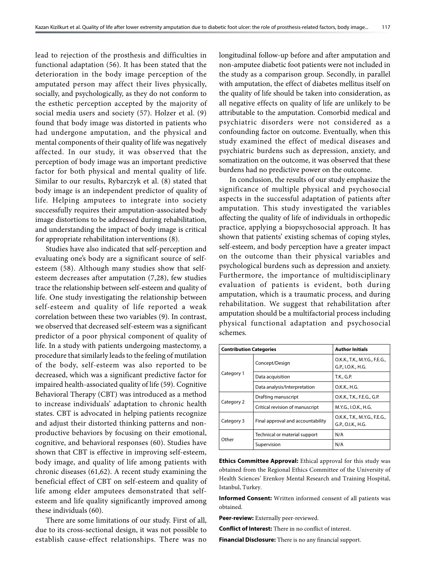lead to rejection of the prosthesis and difficulties in functional adaptation (56). It has been stated that the deterioration in the body image perception of the amputated person may affect their lives physically, socially, and psychologically, as they do not conform to the esthetic perception accepted by the majority of social media users and society (57). Holzer et al. (9) found that body image was distorted in patients who had undergone amputation, and the physical and mental components of their quality of life was negatively affected. In our study, it was observed that the perception of body image was an important predictive factor for both physical and mental quality of life. Similar to our results, Rybarczyk et al. (8) stated that body image is an independent predictor of quality of life. Helping amputees to integrate into society successfully requires their amputation-associated body image distortions to be addressed during rehabilitation, and understanding the impact of body image is critical for appropriate rehabilitation interventions (8).

Studies have also indicated that self-perception and evaluating one's body are a significant source of selfesteem (58). Although many studies show that selfesteem decreases after amputation (7,28), few studies trace the relationship between self-esteem and quality of life. One study investigating the relationship between self-esteem and quality of life reported a weak correlation between these two variables (9). In contrast, we observed that decreased self-esteem was a significant predictor of a poor physical component of quality of life. In a study with patients undergoing mastectomy, a procedure that similarly leads to the feeling of mutilation of the body, self-esteem was also reported to be decreased, which was a significant predictive factor for impaired health-associated quality of life (59). Cognitive Behavioral Therapy (CBT) was introduced as a method to increase individuals' adaptation to chronic health states. CBT is advocated in helping patients recognize and adjust their distorted thinking patterns and nonproductive behaviors by focusing on their emotional, cognitive, and behavioral responses (60). Studies have shown that CBT is effective in improving self-esteem, body image, and quality of life among patients with chronic diseases (61,62). A recent study examining the beneficial effect of CBT on self-esteem and quality of life among elder amputees demonstrated that selfesteem and life quality significantly improved among these individuals (60).

There are some limitations of our study. First of all, due to its cross-sectional design, it was not possible to establish cause-effect relationships. There was no longitudinal follow-up before and after amputation and non-amputee diabetic foot patients were not included in the study as a comparison group. Secondly, in parallel with amputation, the effect of diabetes mellitus itself on the quality of life should be taken into consideration, as all negative effects on quality of life are unlikely to be attributable to the amputation. Comorbid medical and psychiatric disorders were not considered as a confounding factor on outcome. Eventually, when this study examined the effect of medical diseases and psychiatric burdens such as depression, anxiety, and somatization on the outcome, it was observed that these burdens had no predictive power on the outcome.

In conclusion, the results of our study emphasize the significance of multiple physical and psychosocial aspects in the successful adaptation of patients after amputation. This study investigated the variables affecting the quality of life of individuals in orthopedic practice, applying a biopsychosocial approach. It has shown that patients' existing schemas of coping styles, self-esteem, and body perception have a greater impact on the outcome than their physical variables and psychological burdens such as depression and anxiety. Furthermore, the importance of multidisciplinary evaluation of patients is evident, both during amputation, which is a traumatic process, and during rehabilitation. We suggest that rehabilitation after amputation should be a multifactorial process including physical functional adaptation and psychosocial schemes.

| <b>Contribution Categories</b>                  |                                 | <b>Author Initials</b>                              |
|-------------------------------------------------|---------------------------------|-----------------------------------------------------|
|                                                 | Concept/Design                  | O.K.K., T.K., M.Y.G., F.E.G.,<br>G.P., I.O.K., H.G. |
| Category 1                                      | Data acquisition                | T.K., G.P.                                          |
|                                                 | Data analysis/Interpretation    | O.K.K., H.G.                                        |
| Category 2                                      | Drafting manuscript             | O.K.K., T.K., F.E.G., G.P.                          |
|                                                 | Critical revision of manuscript | M.Y.G., I.O.K., H.G.                                |
| Final approval and accountability<br>Category 3 |                                 | O.K.K., T.K., M.Y.G., F.E.G.,<br>G.P., O.I.K., H.G. |
| Other                                           | Technical or material support   | N/A                                                 |
|                                                 | Supervision                     | N/A                                                 |

**Ethics Committee Approval:** Ethical approval for this study was obtained from the Regional Ethics Committee of the University of Health Sciences' Erenkoy Mental Research and Training Hospital, Istanbul, Turkey.

**Informed Consent:** Written informed consent of all patients was obtained.

**Peer-review:** Externally peer-reviewed.

**Conflict of Interest:** There in no conflict of interest.

**Financial Disclosure:** There is no any financial support.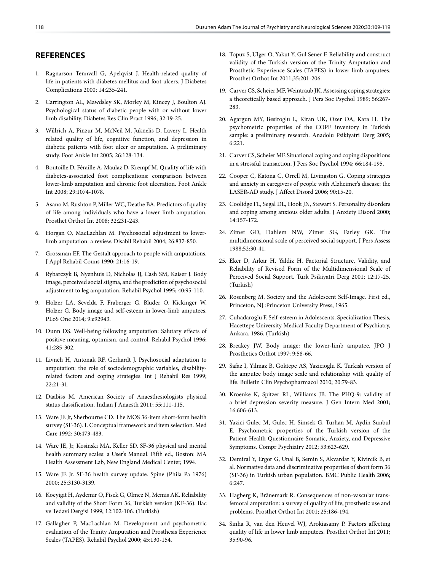## **REFERENCES**

- 1. Ragnarson Tennvall G, Apelqvist J. Health-related quality of life in patients with diabetes mellitus and foot ulcers. J Diabetes Complications 2000; 14:235-241.
- 2. Carrington AL, Mawdsley SK, Morley M, Kincey J, Boulton AJ. Psychological status of diabetic people with or without lower limb disability. Diabetes Res Clin Pract 1996; 32:19-25.
- 3. Willrich A, Pinzur M, McNeil M, Juknelis D, Lavery L. Health related quality of life, cognitive function, and depression in diabetic patients with foot ulcer or amputation. A preliminary study. Foot Ankle Int 2005; 26:128-134.
- 4. Boutoille D, Féraille A, Maulaz D, Krempf M. Quality of life with diabetes-associated foot complications: comparison between lower-limb amputation and chronic foot ulceration. Foot Ankle Int 2008; 29:1074-1078.
- 5. Asano M, Rushton P, Miller WC, Deathe BA. Predictors of quality of life among individuals who have a lower limb amputation. Prosthet Orthot Int 2008; 32:231-243.
- 6. Horgan O, MacLachlan M. Psychosocial adjustment to lowerlimb amputation: a review. Disabil Rehabil 2004; 26:837-850.
- 7. Grossman EF. The Gestalt approach to people with amputations. J Appl Rehabil Couns 1990; 21:16-19.
- 8. Rybarczyk B, Nyenhuis D, Nicholas JJ, Cash SM, Kaiser J. Body image, perceived social stigma, and the prediction of psychosocial adjustment to leg amputation. Rehabil Psychol 1995; 40:95-110.
- 9. Holzer LA, Sevelda F, Fraberger G, Bluder O, Kickinger W, Holzer G. Body image and self-esteem in lower-limb amputees. PLoS One 2014; 9:e92943.
- 10. Dunn DS. Well-being following amputation: Salutary effects of positive meaning, optimism, and control. Rehabil Psychol 1996; 41:285-302.
- 11. Livneh H, Antonak RF, Gerhardt J. Psychosocial adaptation to amputation: the role of sociodemographic variables, disabilityrelated factors and coping strategies. Int J Rehabil Res 1999; 22:21-31.
- 12. Daabiss M. American Society of Anaesthesiologists physical status classification. Indian J Anaesth 2011; 55:111-115.
- 13. Ware JE Jr, Sherbourne CD. The MOS 36-item short-form health survey (SF-36). I. Conceptual framework and item selection. Med Care 1992; 30:473-483.
- 14. Ware JE, Jr, Kosinski MA, Keller SD. SF-36 physical and mental health summary scales: a User's Manual. Fifth ed., Boston: MA Health Assessment Lab, New England Medical Center, 1994.
- 15. Ware JE Jr. SF-36 health survey update. Spine (Phila Pa 1976) 2000; 25:3130-3139.
- 16. Kocyigit H, Aydemir O, Fisek G, Olmez N, Memis AK. Reliability and validity of the Short Form 36, Turkish version (KF-36). Ilac ve Tedavi Dergisi 1999; 12:102-106. (Turkish)
- 17. Gallagher P, MacLachlan M. Development and psychometric evaluation of the Trinity Amputation and Prosthesis Experience Scales (TAPES). Rehabil Psychol 2000; 45:130-154.
- 18. Topuz S, Ulger O, Yakut Y, Gul Sener F. Reliability and construct validity of the Turkish version of the Trinity Amputation and Prosthetic Experience Scales (TAPES) in lower limb amputees. Prosthet Orthot Int 2011;35:201-206.
- 19. Carver CS, Scheier MF, Weintraub JK. Assessing coping strategies: a theoretically based approach. J Pers Soc Psychol 1989; 56:267- 283
- 20. Agargun MY, Besiroglu L, Kiran UK, Ozer OA, Kara H. The psychometric properties of the COPE inventory in Turkish sample: a preliminary research. Anadolu Psikiyatri Derg 2005; 6:221.
- 21. Carver CS, Scheier MF. Situational coping and coping dispositions in a stressful transaction. J Pers Soc Psychol 1994; 66:184-195.
- 22. Cooper C, Katona C, Orrell M, Livingston G. Coping strategies and anxiety in caregivers of people with Alzheimer's disease: the LASER-AD study. J Affect Disord 2006; 90:15-20.
- 23. Coolidge FL, Segal DL, Hook JN, Stewart S. Personality disorders and coping among anxious older adults. J Anxiety Disord 2000; 14:157-172.
- 24. Zimet GD, Dahlem NW, Zimet SG, Farley GK. The multidimensional scale of perceived social support. J Pers Assess 1988;52:30-41.
- 25. Eker D, Arkar H, Yaldiz H. Factorial Structure, Validity, and Reliability of Revised Form of the Multidimensional Scale of Perceived Social Support. Turk Psikiyatri Derg 2001; 12:17-25. (Turkish)
- 26. Rosenberg M. Society and the Adolescent Self-Image. First ed., Princeton, NJ.:Princeton University Press, 1965.
- 27. Cuhadaroglu F. Self-esteem in Adolescents. Specialization Thesis, Hacettepe University Medical Faculty Department of Psychiatry, Ankara. 1986. (Turkish)
- 28. Breakey JW. Body image: the lower-limb amputee. JPO J Prosthetics Orthot 1997; 9:58-66.
- 29. Safaz I, Yilmaz B, Goktepe AS, Yazicioglu K. Turkish version of the amputee body image scale and relationship with quality of life. Bulletin Clin Psychopharmacol 2010; 20:79-83.
- 30. Kroenke K, Spitzer RL, Williams JB. The PHQ-9: validity of a brief depression severity measure. J Gen Intern Med 2001; 16:606-613.
- 31. Yazici Gulec M, Gulec H, Simsek G, Turhan M, Aydin Sunbul E. Psychometric properties of the Turkish version of the Patient Health Questionnaire-Somatic, Anxiety, and Depressive Symptoms. Compr Psychiatry 2012; 53:623-629.
- 32. Demiral Y, Ergor G, Unal B, Semin S, Akvardar Y, Kivircik B, et al. Normative data and discriminative properties of short form 36 (SF-36) in Turkish urban population. BMC Public Health 2006; 6:247.
- 33. Hagberg K, Brånemark R. Consequences of non-vascular transfemoral amputation: a survey of quality of life, prosthetic use and problems. Prosthet Orthot Int 2001; 25:186-194.
- 34. Sinha R, van den Heuvel WJ, Arokiasamy P. Factors affecting quality of life in lower limb amputees. Prosthet Orthot Int 2011; 35:90-96.